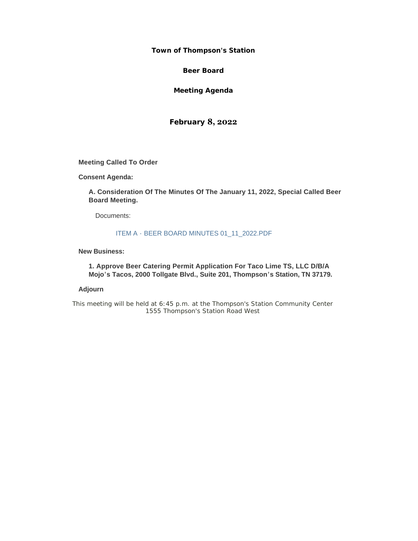#### **Town of Thompson's Station**

**Beer Board**

**Meeting Agenda**

**February 8, 2022**

**Meeting Called To Order**

**Consent Agenda:**

**A. Consideration Of The Minutes Of The January 11, 2022, Special Called Beer Board Meeting.** 

Documents:

### ITEM A - BEER BOARD MINUTES 01\_11\_2022.PDF

#### **New Business:**

**1. Approve Beer Catering Permit Application For Taco Lime TS, LLC D/B/A Mojo's Tacos, 2000 Tollgate Blvd., Suite 201, Thompson's Station, TN 37179.**

### **Adjourn**

*This meeting will be held at 6:45 p.m. at the Thompson's Station Community Center 1555 Thompson's Station Road West*